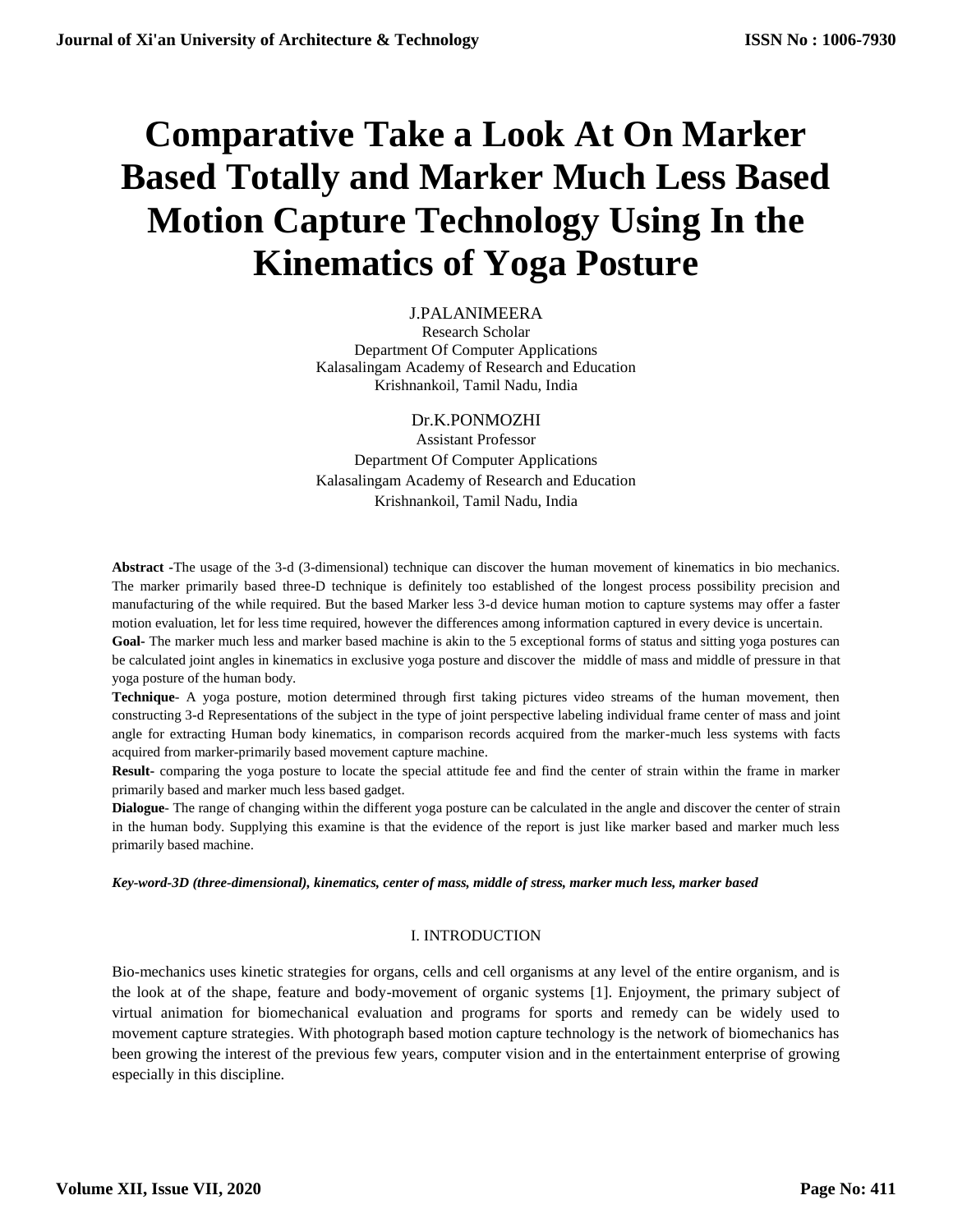# **Comparative Take a Look At On Marker Based Totally and Marker Much Less Based Motion Capture Technology Using In the Kinematics of Yoga Posture**

## J.PALANIMEERA

Research Scholar Department Of Computer Applications Kalasalingam Academy of Research and Education Krishnankoil, Tamil Nadu, India

Dr.K.PONMOZHI

Assistant Professor Department Of Computer Applications Kalasalingam Academy of Research and Education Krishnankoil, Tamil Nadu, India

**Abstract -**The usage of the 3-d (3-dimensional) technique can discover the human movement of kinematics in bio mechanics. The marker primarily based three-D technique is definitely too established of the longest process possibility precision and manufacturing of the while required. But the based Marker less 3-d device human motion to capture systems may offer a faster motion evaluation, let for less time required, however the differences among information captured in every device is uncertain.

**Goal-** The marker much less and marker based machine is akin to the 5 exceptional forms of status and sitting yoga postures can be calculated joint angles in kinematics in exclusive yoga posture and discover the middle of mass and middle of pressure in that yoga posture of the human body.

**Technique**- A yoga posture, motion determined through first taking pictures video streams of the human movement, then constructing 3-d Representations of the subject in the type of joint perspective labeling individual frame center of mass and joint angle for extracting Human body kinematics, in comparison records acquired from the marker-much less systems with facts acquired from marker-primarily based movement capture machine.

**Result-** comparing the yoga posture to locate the special attitude fee and find the center of strain within the frame in marker primarily based and marker much less based gadget.

**Dialogue**- The range of changing within the different yoga posture can be calculated in the angle and discover the center of strain in the human body. Supplying this examine is that the evidence of the report is just like marker based and marker much less primarily based machine.

#### *Key-word-3D (three-dimensional), kinematics, center of mass, middle of stress, marker much less, marker based*

#### I. INTRODUCTION

Bio-mechanics uses kinetic strategies for organs, cells and cell organisms at any level of the entire organism, and is the look at of the shape, feature and body-movement of organic systems [1]. Enjoyment, the primary subject of virtual animation for biomechanical evaluation and programs for sports and remedy can be widely used to movement capture strategies. With photograph based motion capture technology is the network of biomechanics has been growing the interest of the previous few years, computer vision and in the entertainment enterprise of growing especially in this discipline.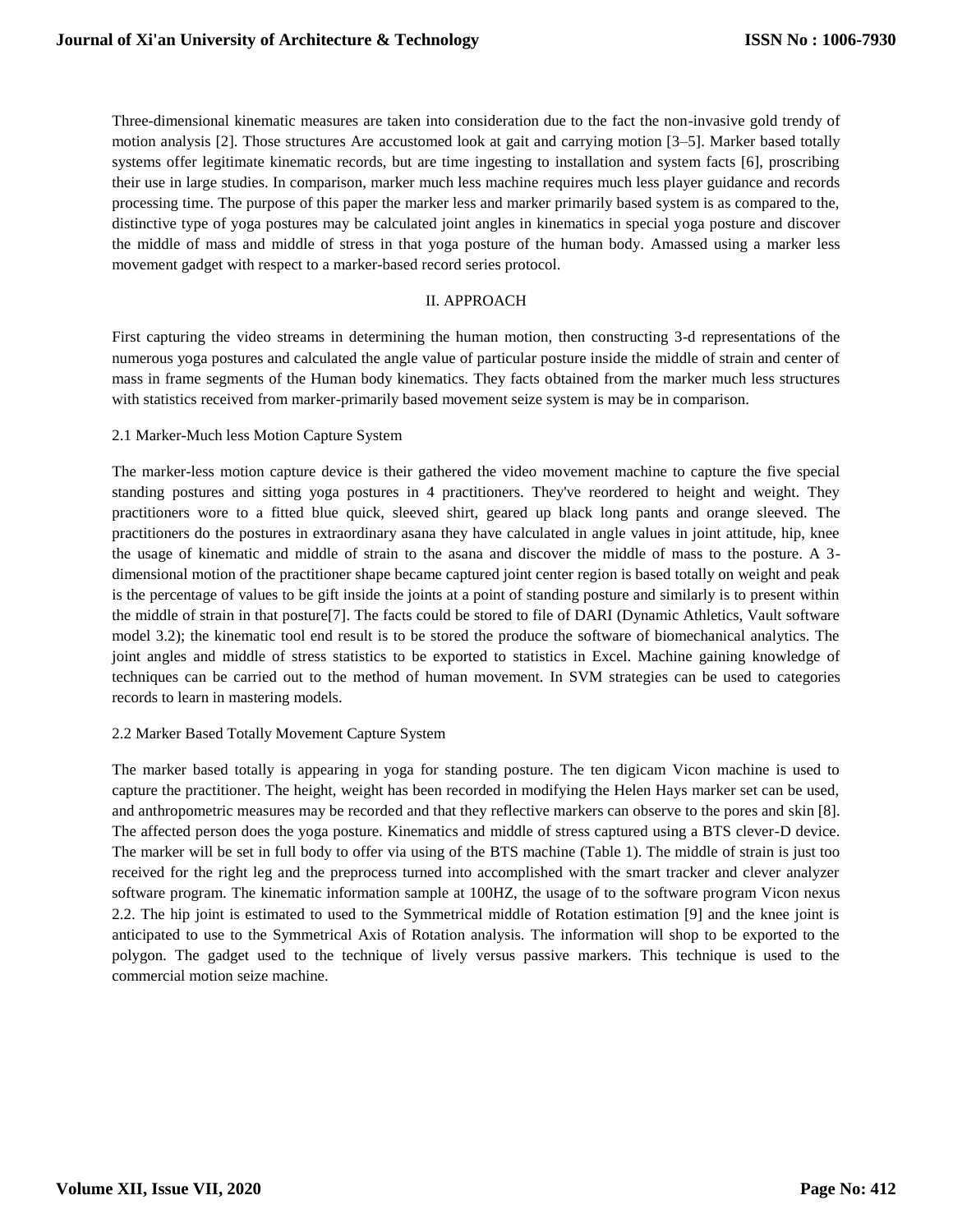Three-dimensional kinematic measures are taken into consideration due to the fact the non-invasive gold trendy of motion analysis [2]. Those structures Are accustomed look at gait and carrying motion [3–5]. Marker based totally systems offer legitimate kinematic records, but are time ingesting to installation and system facts [6], proscribing their use in large studies. In comparison, marker much less machine requires much less player guidance and records processing time. The purpose of this paper the marker less and marker primarily based system is as compared to the, distinctive type of yoga postures may be calculated joint angles in kinematics in special yoga posture and discover the middle of mass and middle of stress in that yoga posture of the human body. Amassed using a marker less movement gadget with respect to a marker-based record series protocol.

#### II. APPROACH

First capturing the video streams in determining the human motion, then constructing 3-d representations of the numerous yoga postures and calculated the angle value of particular posture inside the middle of strain and center of mass in frame segments of the Human body kinematics. They facts obtained from the marker much less structures with statistics received from marker-primarily based movement seize system is may be in comparison.

#### 2.1 Marker-Much less Motion Capture System

The marker-less motion capture device is their gathered the video movement machine to capture the five special standing postures and sitting yoga postures in 4 practitioners. They've reordered to height and weight. They practitioners wore to a fitted blue quick, sleeved shirt, geared up black long pants and orange sleeved. The practitioners do the postures in extraordinary asana they have calculated in angle values in joint attitude, hip, knee the usage of kinematic and middle of strain to the asana and discover the middle of mass to the posture. A 3 dimensional motion of the practitioner shape became captured joint center region is based totally on weight and peak is the percentage of values to be gift inside the joints at a point of standing posture and similarly is to present within the middle of strain in that posture[7]. The facts could be stored to file of DARI (Dynamic Athletics, Vault software model 3.2); the kinematic tool end result is to be stored the produce the software of biomechanical analytics. The joint angles and middle of stress statistics to be exported to statistics in Excel. Machine gaining knowledge of techniques can be carried out to the method of human movement. In SVM strategies can be used to categories records to learn in mastering models.

#### 2.2 Marker Based Totally Movement Capture System

The marker based totally is appearing in yoga for standing posture. The ten digicam Vicon machine is used to capture the practitioner. The height, weight has been recorded in modifying the Helen Hays marker set can be used, and anthropometric measures may be recorded and that they reflective markers can observe to the pores and skin [8]. The affected person does the yoga posture. Kinematics and middle of stress captured using a BTS clever-D device. The marker will be set in full body to offer via using of the BTS machine (Table 1). The middle of strain is just too received for the right leg and the preprocess turned into accomplished with the smart tracker and clever analyzer software program. The kinematic information sample at 100HZ, the usage of to the software program Vicon nexus 2.2. The hip joint is estimated to used to the Symmetrical middle of Rotation estimation [9] and the knee joint is anticipated to use to the Symmetrical Axis of Rotation analysis. The information will shop to be exported to the polygon. The gadget used to the technique of lively versus passive markers. This technique is used to the commercial motion seize machine.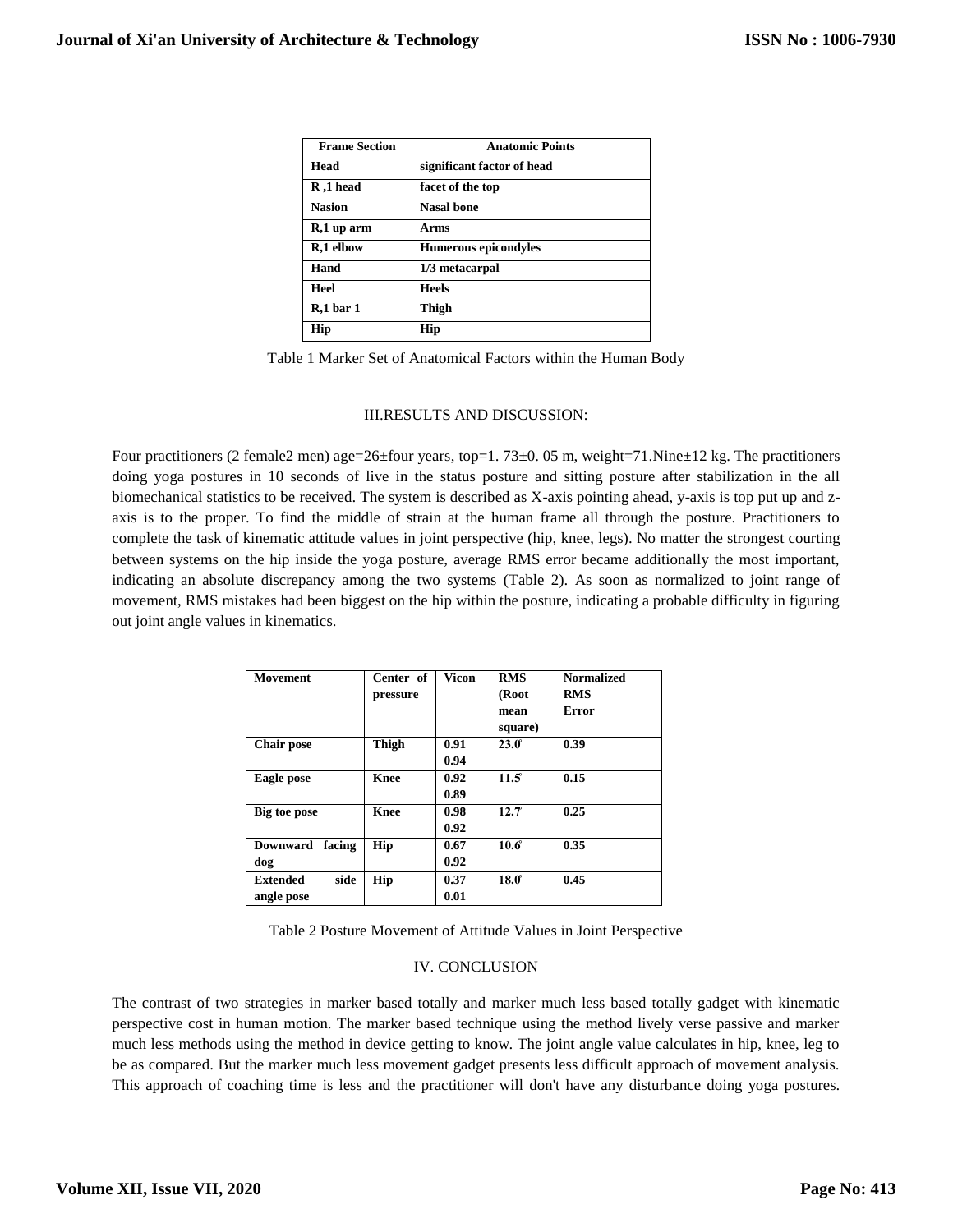| <b>Frame Section</b> | <b>Anatomic Points</b>      |  |  |  |
|----------------------|-----------------------------|--|--|--|
| Head                 | significant factor of head  |  |  |  |
| R,1 head             | facet of the top            |  |  |  |
| <b>Nasion</b>        | <b>Nasal bone</b>           |  |  |  |
| R,1 up arm           | Arms                        |  |  |  |
| R,1 elbow            | <b>Humerous epicondyles</b> |  |  |  |
| Hand                 | 1/3 metacarpal              |  |  |  |
| Heel                 | <b>Heels</b>                |  |  |  |
| $R,1$ bar 1          | Thigh                       |  |  |  |
| Hip                  | Hip                         |  |  |  |

Table 1 Marker Set of Anatomical Factors within the Human Body

#### III.RESULTS AND DISCUSSION:

Four practitioners (2 female2 men) age=26±four years, top=1. 73±0. 05 m, weight=71.Nine±12 kg. The practitioners doing yoga postures in 10 seconds of live in the status posture and sitting posture after stabilization in the all biomechanical statistics to be received. The system is described as X-axis pointing ahead, y-axis is top put up and zaxis is to the proper. To find the middle of strain at the human frame all through the posture. Practitioners to complete the task of kinematic attitude values in joint perspective (hip, knee, legs). No matter the strongest courting between systems on the hip inside the yoga posture, average RMS error became additionally the most important, indicating an absolute discrepancy among the two systems (Table 2). As soon as normalized to joint range of movement, RMS mistakes had been biggest on the hip within the posture, indicating a probable difficulty in figuring out joint angle values in kinematics.

| <b>Movement</b>           | Center of   | Vicon | <b>RMS</b>   | <b>Normalized</b> |
|---------------------------|-------------|-------|--------------|-------------------|
|                           | pressure    |       | (Root        | <b>RMS</b>        |
|                           |             |       | mean         | Error             |
|                           |             |       | square)      |                   |
| <b>Chair pose</b>         | Thigh       | 0.91  | $23.0^\circ$ | 0.39              |
|                           |             | 0.94  |              |                   |
| Eagle pose                | <b>Knee</b> | 0.92  | 11.5         | 0.15              |
|                           |             | 0.89  |              |                   |
| Big toe pose              | <b>Knee</b> | 0.98  | 12.7         | 0.25              |
|                           |             | 0.92  |              |                   |
| <b>Downward</b><br>facing | Hip         | 0.67  | 10.6         | 0.35              |
| dog                       |             | 0.92  |              |                   |
| side<br><b>Extended</b>   | Hip         | 0.37  | 18.0         | 0.45              |
| angle pose                |             | 0.01  |              |                   |

Table 2 Posture Movement of Attitude Values in Joint Perspective

### IV. CONCLUSION

The contrast of two strategies in marker based totally and marker much less based totally gadget with kinematic perspective cost in human motion. The marker based technique using the method lively verse passive and marker much less methods using the method in device getting to know. The joint angle value calculates in hip, knee, leg to be as compared. But the marker much less movement gadget presents less difficult approach of movement analysis. This approach of coaching time is less and the practitioner will don't have any disturbance doing yoga postures.